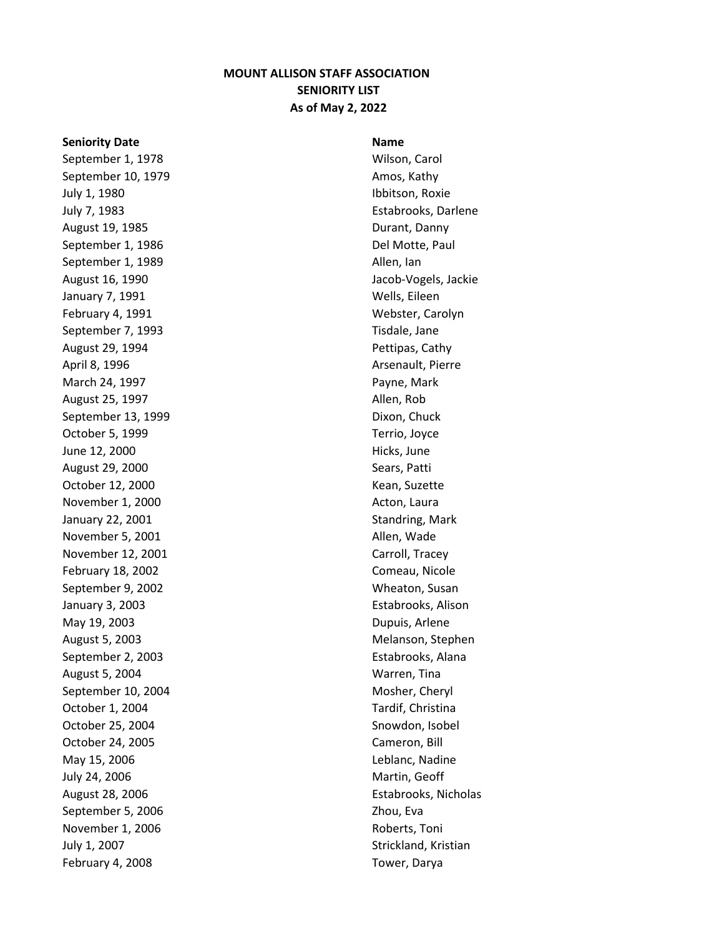## **MOUNT ALLISON STAFF ASSOCIATION SENIORITY LIST As of May 2, 2022**

## **Seniority Date Name Name Name Name**

September 1, 1978 Wilson, Carol September 10, 1979 **Amos**, Kathy July 1, 1980 **Ibbitson**, Roxie July 7, 1983 Estabrooks, Darlene August 19, 1985 **Durant**, Danny September 1, 1986 **Del Motte**, Paul September 1, 1989 **Allen**, Ian August 16, 1990 **Jacob-Vogels**, Jackie January 7, 1991 Mells, Eileen February 4, 1991 Mebster, Carolyn September 7, 1993 Tisdale, Jane August 29, 1994 **Pettipas**, Cathy April 8, 1996 **Arsenault**, Pierre March 24, 1997 **Payne, Mark** August 25, 1997 **Allen, Rob Allen, Rob** September 13, 1999 **Dixon**, Chuck October 5, 1999 **Terrio**, Joyce June 12, 2000 **Hicks**, June August 29, 2000 Sears, Patti October 12, 2000 Kean, Suzette November 1, 2000 Acton, Laura January 22, 2001 **Standring**, Mark November 5, 2001 and the state of the Allen, Wade November 12, 2001 Carroll, Tracey February 18, 2002 **Comeau, Nicole** September 9, 2002 September 9, 2002 January 3, 2003 Estabrooks, Alison May 19, 2003 **Dupuis**, Arlene August 5, 2003 Melanson, Stephen September 2, 2003 **Estabrooks**, Alana August 5, 2004 Warren, Tina September 10, 2004 Mosher, Cheryl October 1, 2004 Tardif, Christina October 25, 2004 Snowdon, Isobel October 24, 2005 Cameron, Bill May 15, 2006 Leblanc, Nadine July 24, 2006 Martin, Geoff August 28, 2006 **Estabrooks**, Nicholas September 5, 2006 Zhou, Eva November 1, 2006 **Roberts**, Toni July 1, 2007 **Strickland**, Kristian February 4, 2008 Tower, Darya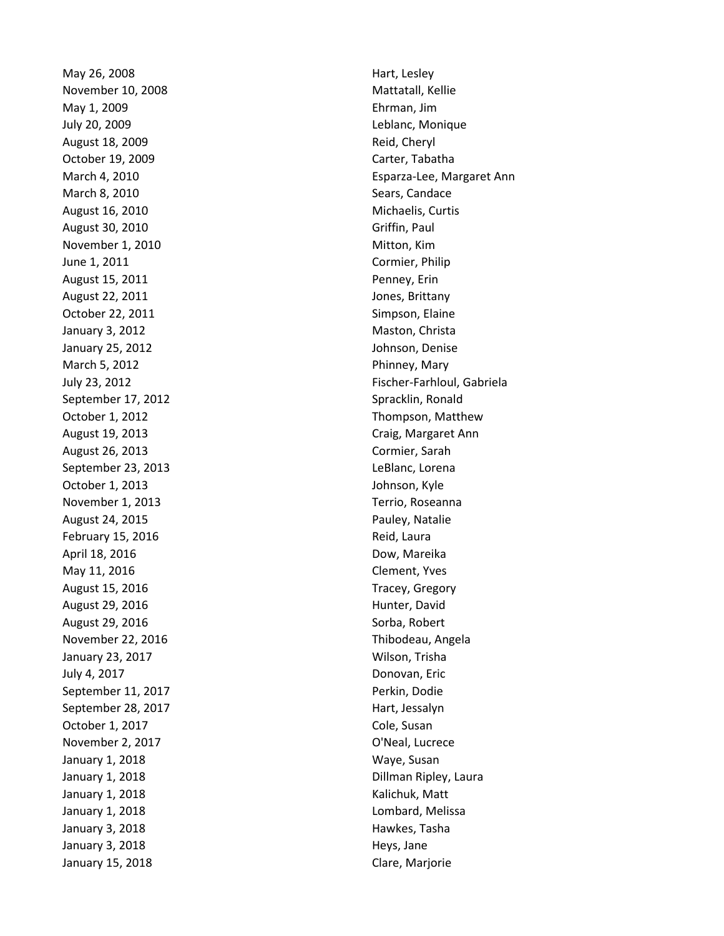May 26, 2008 **Hart, Lesley** November 10, 2008 Movember 10, 2008 May 1, 2009 Ehrman, Jim July 20, 2009 Leblanc, Monique August 18, 2009 **Reid, Cheryl** Reid, Cheryl October 19, 2009 **Carter, Tabatha** March 8, 2010 **Sears**, Candace August 16, 2010 **Michaelis**, Curtis August 30, 2010 **Griffin**, Paul November 1, 2010 Mitton, Kim June 1, 2011 Cormier, Philip August 15, 2011 **Penney, Example 2018** August 22, 2011 **Jones**, Brittany October 22, 2011 **Simpson, Elaine** January 3, 2012 **Maston**, Christa January 25, 2012 Johnson, Denise March 5, 2012 **Phinney, Mary** September 17, 2012 September 17, 2012 August 19, 2013 Craig, Margaret Ann August 26, 2013 Cormier, Sarah September 23, 2013 LeBlanc, Lorena October 1, 2013 **Johnson, Kyle** November 1, 2013 Terrio, Roseanna August 24, 2015 **Pauley, Natalie** February 15, 2016 **Reid, Laura** Reid, Laura April 18, 2016 **Dow, Mareika** May 11, 2016 **Clement**, Yves August 15, 2016 Tracey, Gregory August 29, 2016 **Hunter**, David August 29, 2016 **Sorba**, Robert November 22, 2016 **Thibodeau, Angela** January 23, 2017 Wilson, Trisha July 4, 2017 Donovan, Eric September 11, 2017 **Perkin**, Dodie September 28, 2017 **Hart**, Jessalyn October 1, 2017 **Cole**, Susan November 2, 2017 **O'Neal, Lucrece** January 1, 2018 Maye, Susan January 1, 2018 **Kalichuk**, Matt January 1, 2018 **Lombard, Melissa** January 3, 2018 **Hawkes**, Tasha January 3, 2018 **Heys**, Jane January 15, 2018 **Clare**, Marjorie

March 4, 2010 Esparza-Lee, Margaret Ann July 23, 2012 Fischer-Farhloul, Gabriela October 1, 2012 **Thompson, Matthew** January 1, 2018 **Dillman Ripley, Laura**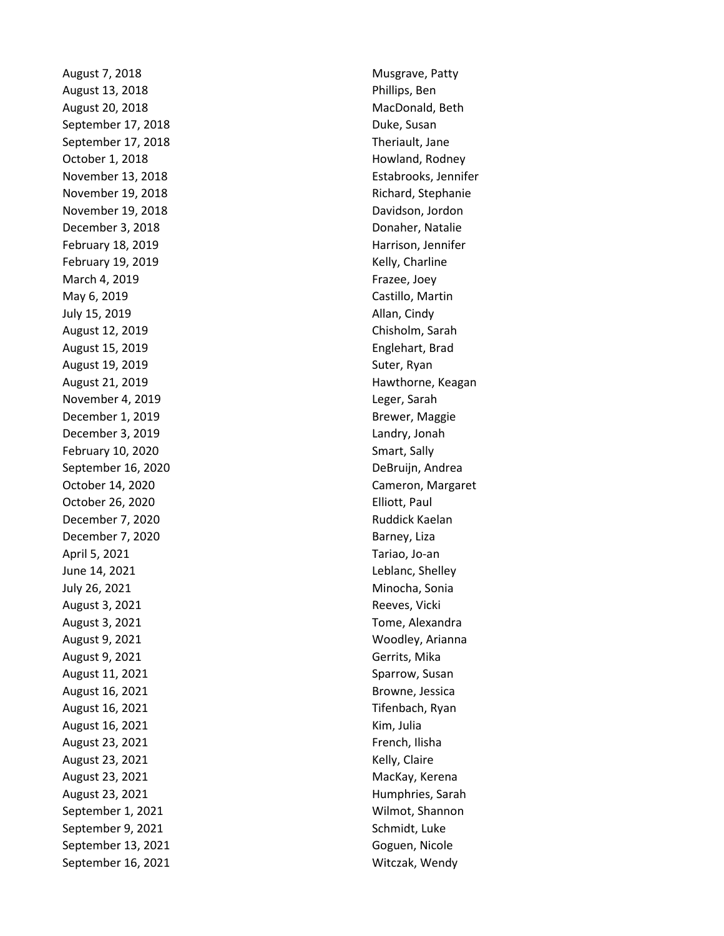August 7, 2018 Musgrave, Patty August 13, 2018 **Phillips**, Ben August 20, 2018 MacDonald, Beth September 17, 2018 **Duke**, Susan September 17, 2018 Theriault, Jane October 1, 2018 **Howland, Rodney** November 19, 2018 **Richard**, Stephanie November 19, 2018 **Davidson**, Jordon December 3, 2018 Donaher, Natalie February 18, 2019 **Harrison**, Jennifer February 19, 2019 **Kelly, Charline** March 4, 2019 **Frazee**, Joey **Frazee**, Joey May 6, 2019 Castillo, Martin July 15, 2019 **Allan, Cindy** August 12, 2019 Chisholm, Sarah August 15, 2019 **Englehart**, Brad August 19, 2019 **Suter, Ryan** November 4, 2019 **Leger, Sarah** December 1, 2019 **Brewer, Maggie** December 3, 2019 Landry, Jonah February 10, 2020 Smart, Sally September 16, 2020 **DeBruijn**, Andrea October 26, 2020 **Elliott**, Paul December 7, 2020 **Ruddick Kaelan** December 7, 2020 Barney, Liza April 5, 2021 Tariao, Jo-an June 14, 2021 **Leblanc**, Shelley July 26, 2021 Minocha, Sonia August 3, 2021 **Reeves**, Vicki August 3, 2021 **August 3, 2021 Tome, Alexandra** August 9, 2021 Moodley, Arianna August 9, 2021 **Gerrits**, Mika August 11, 2021 **Sparrow, Susan** August 16, 2021 **Browne**, Jessica August 16, 2021 **Tifenbach**, Ryan August 16, 2021 **Kim**, Julia August 23, 2021 **French**, Ilisha August 23, 2021 **Kelly**, Claire August 23, 2021 MacKay, Kerena August 23, 2021 **Humphries**, Sarah September 1, 2021 Milmot, Shannon September 9, 2021 Schmidt, Luke September 13, 2021 Goguen, Nicole September 16, 2021 Mitczak, Wendy

November 13, 2018 Estabrooks, Jennifer August 21, 2019 **Hawthorne**, Keagan October 14, 2020 Cameron, Margaret